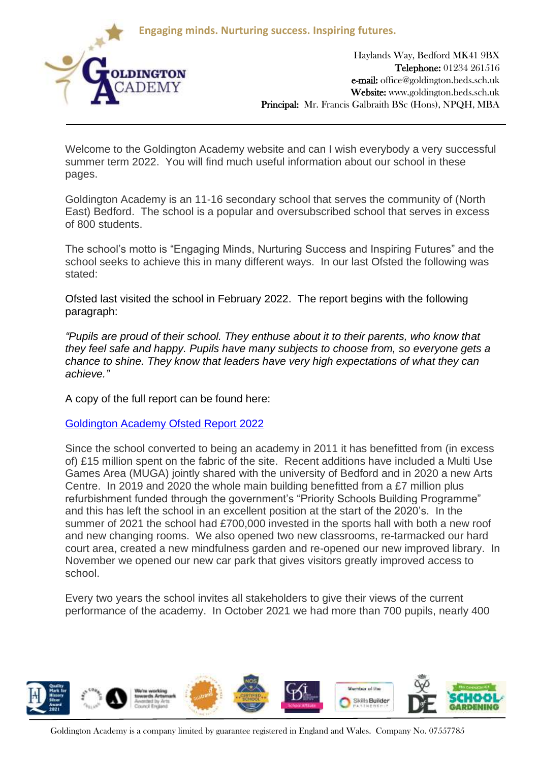**Engaging minds. Nurturing success. Inspiring futures.**



Haylands Way, Bedford MK41 9BX Telephone: 01234 261516 e-mail: office@goldington.beds.sch.uk Website: www.goldington.beds.sch.uk Principal: Mr. Francis Galbraith BSc (Hons), NPQH, MBA

Welcome to the Goldington Academy website and can I wish everybody a very successful summer term 2022. You will find much useful information about our school in these pages.

Goldington Academy is an 11-16 secondary school that serves the community of (North East) Bedford. The school is a popular and oversubscribed school that serves in excess of 800 students.

The school's motto is "Engaging Minds, Nurturing Success and Inspiring Futures" and the school seeks to achieve this in many different ways. In our last Ofsted the following was stated:

Ofsted last visited the school in February 2022. The report begins with the following paragraph:

*"Pupils are proud of their school. They enthuse about it to their parents, who know that they feel safe and happy. Pupils have many subjects to choose from, so everyone gets a chance to shine. They know that leaders have very high expectations of what they can achieve."*

A copy of the full report can be found here:

[Goldington Academy Ofsted Report 2022](https://www.goldington.beds.sch.uk/ckfinder/userfiles/files/Ofsted/10210940%20-%20Goldington%20Academy%20-%20136552%20-%20Final%20PDF.pdf)

Since the school converted to being an academy in 2011 it has benefitted from (in excess of) £15 million spent on the fabric of the site. Recent additions have included a Multi Use Games Area (MUGA) jointly shared with the university of Bedford and in 2020 a new Arts Centre. In 2019 and 2020 the whole main building benefitted from a £7 million plus refurbishment funded through the government's "Priority Schools Building Programme" and this has left the school in an excellent position at the start of the 2020's. In the summer of 2021 the school had £700,000 invested in the sports hall with both a new roof and new changing rooms. We also opened two new classrooms, re-tarmacked our hard court area, created a new mindfulness garden and re-opened our new improved library. In November we opened our new car park that gives visitors greatly improved access to school.

Every two years the school invites all stakeholders to give their views of the current performance of the academy. In October 2021 we had more than 700 pupils, nearly 400